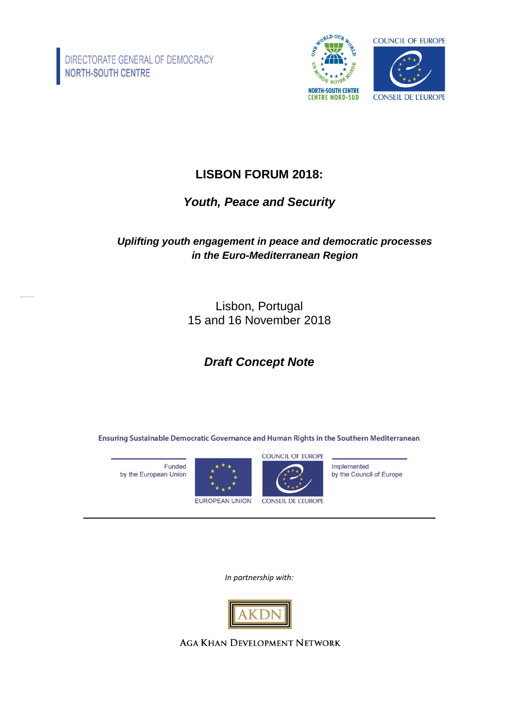

# **LISBON FORUM 2018:**

## *Youth, Peace and Security*

### *Uplifting youth engagement in peace and democratic processes in the Euro-Mediterranean Region*

Lisbon, Portugal 15 and 16 November 2018

# *Draft Concept Note*

Ensuring Sustainable Democratic Governance and Human Rights in the Southern Mediterranean

Funded by the European Union





Implemented by the Council of Europe

*In partnership with:*



**AGA KHAN DEVELOPMENT NETWORK**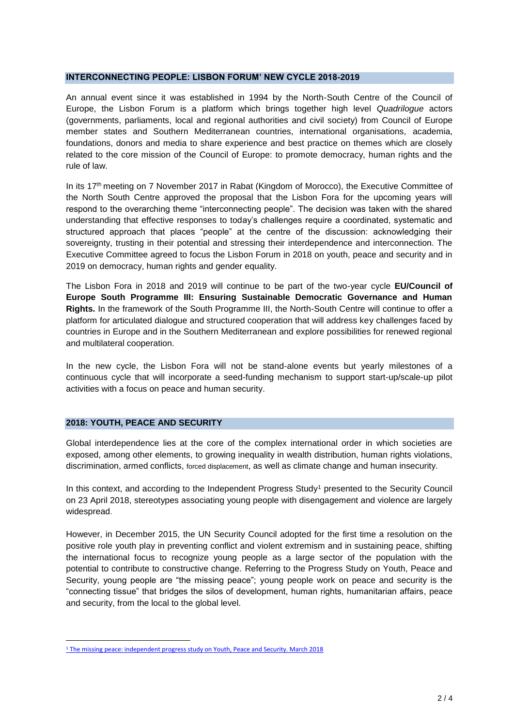#### **INTERCONNECTING PEOPLE: LISBON FORUM' NEW CYCLE 2018-2019**

An annual event since it was established in 1994 by the North-South Centre of the Council of Europe, the Lisbon Forum is a platform which brings together high level *Quadrilogue* actors (governments, parliaments, local and regional authorities and civil society) from Council of Europe member states and Southern Mediterranean countries, international organisations, academia, foundations, donors and media to share experience and best practice on themes which are closely related to the core mission of the Council of Europe: to promote democracy, human rights and the rule of law.

In its  $17<sup>th</sup>$  meeting on 7 November 2017 in Rabat (Kingdom of Morocco), the Executive Committee of the North South Centre approved the proposal that the Lisbon Fora for the upcoming years will respond to the overarching theme "interconnecting people". The decision was taken with the shared understanding that effective responses to today's challenges require a coordinated, systematic and structured approach that places "people" at the centre of the discussion: acknowledging their sovereignty, trusting in their potential and stressing their interdependence and interconnection. The Executive Committee agreed to focus the Lisbon Forum in 2018 on youth, peace and security and in 2019 on democracy, human rights and gender equality.

The Lisbon Fora in 2018 and 2019 will continue to be part of the two-year cycle **EU/Council of Europe South Programme III: Ensuring Sustainable Democratic Governance and Human Rights.** In the framework of the South Programme III, the North-South Centre will continue to offer a platform for articulated dialogue and structured cooperation that will address key challenges faced by countries in Europe and in the Southern Mediterranean and explore possibilities for renewed regional and multilateral cooperation.

In the new cycle, the Lisbon Fora will not be stand-alone events but yearly milestones of a continuous cycle that will incorporate a seed-funding mechanism to support start-up/scale-up pilot activities with a focus on peace and human security.

#### **2018: YOUTH, PEACE AND SECURITY**

 $\overline{\phantom{a}}$ 

Global interdependence lies at the core of the complex international order in which societies are exposed, among other elements, to growing inequality in wealth distribution, human rights violations, discrimination, armed conflicts, forced displacement, as well as climate change and human insecurity.

In this context, and according to the Independent Progress Study<sup>1</sup> presented to the Security Council on 23 April 2018, stereotypes associating young people with disengagement and violence are largely widespread.

However, in December 2015, the UN Security Council adopted for the first time a resolution on the positive role youth play in preventing conflict and violent extremism and in sustaining peace, shifting the international focus to recognize young people as a large sector of the population with the potential to contribute to constructive change. Referring to the Progress Study on Youth, Peace and Security, young people are "the missing peace"; young people work on peace and security is the "connecting tissue" that bridges the silos of development, human rights, humanitarian affairs, peace and security, from the local to the global level.

<sup>&</sup>lt;sup>1</sup> [The missing peace: independent progress study on Youth, Peace and Security. March 2018](https://www.unfpa.org/sites/default/files/resource-pdf/Progress_Study_on_Youth_Peace_Security_A-72-761_S-2018-86_ENGLISH.pdf)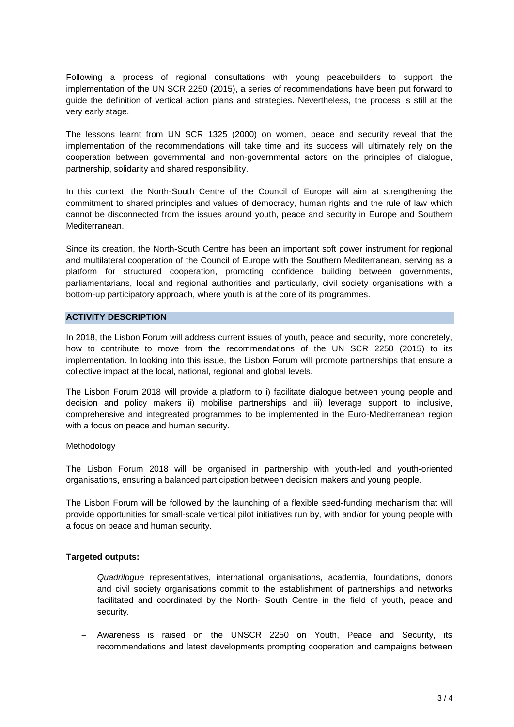Following a process of regional consultations with young peacebuilders to support the implementation of the UN SCR 2250 (2015), a series of recommendations have been put forward to guide the definition of vertical action plans and strategies. Nevertheless, the process is still at the very early stage.

The lessons learnt from UN SCR 1325 (2000) on women, peace and security reveal that the implementation of the recommendations will take time and its success will ultimately rely on the cooperation between governmental and non-governmental actors on the principles of dialogue, partnership, solidarity and shared responsibility.

In this context, the North-South Centre of the Council of Europe will aim at strengthening the commitment to shared principles and values of democracy, human rights and the rule of law which cannot be disconnected from the issues around youth, peace and security in Europe and Southern Mediterranean.

Since its creation, the North-South Centre has been an important soft power instrument for regional and multilateral cooperation of the Council of Europe with the Southern Mediterranean, serving as a platform for structured cooperation, promoting confidence building between governments, parliamentarians, local and regional authorities and particularly, civil society organisations with a bottom-up participatory approach, where youth is at the core of its programmes.

#### **ACTIVITY DESCRIPTION**

In 2018, the Lisbon Forum will address current issues of youth, peace and security, more concretely, how to contribute to move from the recommendations of the UN SCR 2250 (2015) to its implementation. In looking into this issue, the Lisbon Forum will promote partnerships that ensure a collective impact at the local, national, regional and global levels.

The Lisbon Forum 2018 will provide a platform to i) facilitate dialogue between young people and decision and policy makers ii) mobilise partnerships and iii) leverage support to inclusive, comprehensive and integreated programmes to be implemented in the Euro-Mediterranean region with a focus on peace and human security.

#### Methodology

The Lisbon Forum 2018 will be organised in partnership with youth-led and youth-oriented organisations, ensuring a balanced participation between decision makers and young people.

The Lisbon Forum will be followed by the launching of a flexible seed-funding mechanism that will provide opportunities for small-scale vertical pilot initiatives run by, with and/or for young people with a focus on peace and human security.

#### **Targeted outputs:**

- *Quadrilogue* representatives, international organisations, academia, foundations, donors and civil society organisations commit to the establishment of partnerships and networks facilitated and coordinated by the North- South Centre in the field of youth, peace and security.
- Awareness is raised on the UNSCR 2250 on Youth, Peace and Security, its recommendations and latest developments prompting cooperation and campaigns between